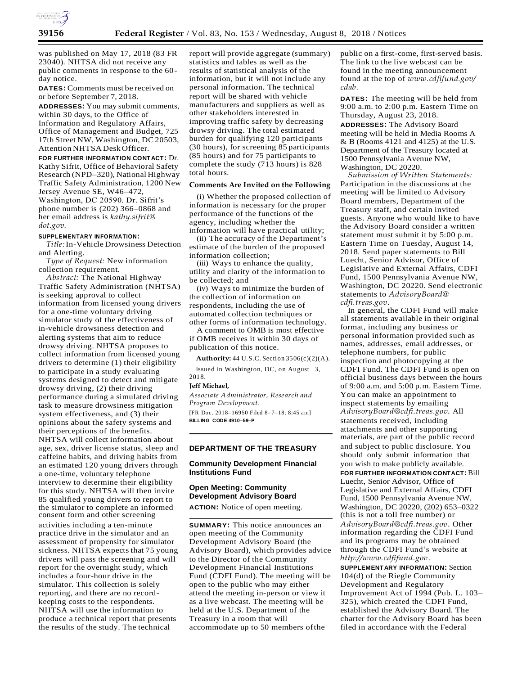

was published on May 17, 2018 (83 FR 23040). NHTSA did not receive any public comments in response to the 60 day notice.

**DATES:** Comments must be received on or before September 7, 2018.

**ADDRESSES:** You may submit comments, within 30 days, to the Office of Information and Regulatory Affairs, Office of Management and Budget, 725 17th Street NW, Washington, DC 20503, Attention NHTSA Desk Officer.

**FOR FURTHER INFORMATION CONTACT:** Dr. Kathy Sifrit, Office of Behavioral Safety Research (NPD–320), National Highway Traffic Safety Administration, 1200 New Jersey Avenue SE, W46–472, Washington, DC 20590. Dr. Sifrit's phone number is (202) 366–0868 and her email address is *[kathy.sifrit@](mailto:kathy.sifrit@dot.gov) [dot.gov.](mailto:kathy.sifrit@dot.gov)*

### **SUPPLEMENTARY INFORMATION:**

*Title:*In-Vehicle Drowsiness Detection and Alerting.

*Type of Request:* New information collection requirement.

*Abstract:* The National Highway Traffic Safety Administration (NHTSA) is seeking approval to collect information from licensed young drivers for a one-time voluntary driving simulator study of the effectiveness of in-vehicle drowsiness detection and alerting systems that aim to reduce drowsy driving. NHTSA proposes to collect information from licensed young drivers to determine (1) their eligibility to participate in a study evaluating systems designed to detect and mitigate drowsy driving, (2) their driving performance during a simulated driving task to measure drowsiness mitigation system effectiveness, and (3) their opinions about the safety systems and their perceptions of the benefits. NHTSA will collect information about age, sex, driver license status, sleep and caffeine habits, and driving habits from an estimated 120 young drivers through a one-time, voluntary telephone interview to determine their eligibility for this study. NHTSA will then invite 85 qualified young drivers to report to the simulator to complete an informed consent form and other screening example and the screening (this is not a toll free number) or activities including a ten-minute practice drive in the simulator and an assessment of propensity for simulator sickness. NHTSA expects that 75 young drivers will pass the screening and will report for the overnight study, which includes a four-hour drive in the simulator. This collection is solely reporting, and there are no recordkeeping costs to the respondents. NHTSA will use the information to produce a technical report that presents the results of the study. The technical

report will provide aggregate (summary) statistics and tables as well as the results of statistical analysis of the information, but it will not include any personal information. The technical report will be shared with vehicle manufacturers and suppliers as well as other stakeholders interested in improving traffic safety by decreasing drowsy driving. The total estimated burden for qualifying 120 participants (30 hours), for screening 85 participants (85 hours) and for 75 participants to complete the study (713 hours) is 828 total hours.

#### **Comments Are Invited on the Following**

(i) Whether the proposed collection of information is necessary for the proper performance of the functions of the agency, including whether the information will have practical utility;

(ii) The accuracy of the Department's estimate of the burden of the proposed information collection;

(iii) Ways to enhance the quality, utility and clarity of the information to be collected; and

(iv) Ways to minimize the burden of the collection of information on respondents, including the use of automated collection techniques or other forms of information technology.

A comment to OMB is most effective if OMB receives it within 30 days of publication of this notice.

**Authority:** 44 U.S.C. Section 3506(c)(2)(A).

Issued in Washington, DC, on August 3, 2018.

## **Jeff Michael,**

*Associate Administrator, Research and Program Development.*

[FR Doc. 2018– 16950 Filed 8– 7– 18; 8:45 am] **BILLING CODE 4910–59–P**

### **DEPARTMENT OF THE TREASURY**

# **Community Development Financial Institutions Fund**

### **Open Meeting: Community Development Advisory Board**

**ACTION:** Notice of open meeting.

**SUMMARY:** This notice announces an open meeting of the Community Development Advisory Board (the Advisory Board), which provides advice to the Director of the Community Development Financial Institutions Fund (CDFI Fund). The meeting will be open to the public who may either attend the meeting in-person or view it as a live webcast. The meeting will be held at the U.S. Department of the Treasury in a room that will accommodate up to 50 members ofthe

public on a first-come, first-served basis. The link to the live webcast can be found in the meeting announcement found at the top of *[www.cdfifund.gov/](http://www.cdfifund.gov/cdab) [cdab.](http://www.cdfifund.gov/cdab)*

**DATES:** The meeting will be held from 9:00 a.m. to 2:00 p.m. Eastern Time on Thursday, August 23, 2018.

**ADDRESSES:** The Advisory Board meeting will be held in Media Rooms A & B (Rooms 4121 and 4125) at the U.S. Department of the Treasury located at 1500 Pennsylvania Avenue NW, Washington, DC 20220.

*Submission of Written Statements:*  Participation in the discussions at the meeting will be limited to Advisory Board members, Department of the Treasury staff, and certain invited guests. Anyone who would like to have the Advisory Board consider a written statement must submit it by 5:00 p.m. Eastern Time on Tuesday, August 14, 2018. Send paper statements to Bill Luecht, Senior Advisor, Office of Legislative and External Affairs, CDFI Fund, 1500 Pennsylvania Avenue NW, Washington, DC 20220. Send electronic statements to *[AdvisoryBoard@](mailto:AdvisoryBoard@cdfi.treas.gov) [cdfi.treas.gov](mailto:AdvisoryBoard@cdfi.treas.gov)*.

In general, the CDFI Fund will make all statements available in their original format, including any business or personal information provided such as names, addresses, email addresses, or telephone numbers, for public inspection and photocopying at the CDFI Fund. The CDFI Fund is open on official business days between the hours of 9:00 a.m. and 5:00 p.m. Eastern Time. You can make an appointment to inspect statements by emailing *[AdvisoryBoard@cdfi.treas.gov](mailto:AdvisoryBoard@cdfi.treas.gov)*. All statements received, including attachments and other supporting materials, are part of the public record and subject to public disclosure. You should only submit information that you wish to make publicly available. **FOR FURTHER INFORMATION CONTACT:**Bill Luecht, Senior Advisor, Office of Legislative and External Affairs, CDFI Fund, 1500 Pennsylvania Avenue NW, Washington, DC 20220, (202) 653–0322 *[AdvisoryBoard@cdfi.treas.gov](mailto:AdvisoryBoard@cdfi.treas.gov)*. Other information regarding the CDFI Fund and its programs may be obtained through the CDFI Fund's website at *[http://www.cdfifund.gov](http://www.cdfifund.gov/)*.

**SUPPLEMENTARY INFORMATION:** Section 104(d) of the Riegle Community Development and Regulatory Improvement Act of 1994 (Pub. L. 103– 325), which created the CDFI Fund, established the Advisory Board. The charter for the Advisory Board has been filed in accordance with the Federal